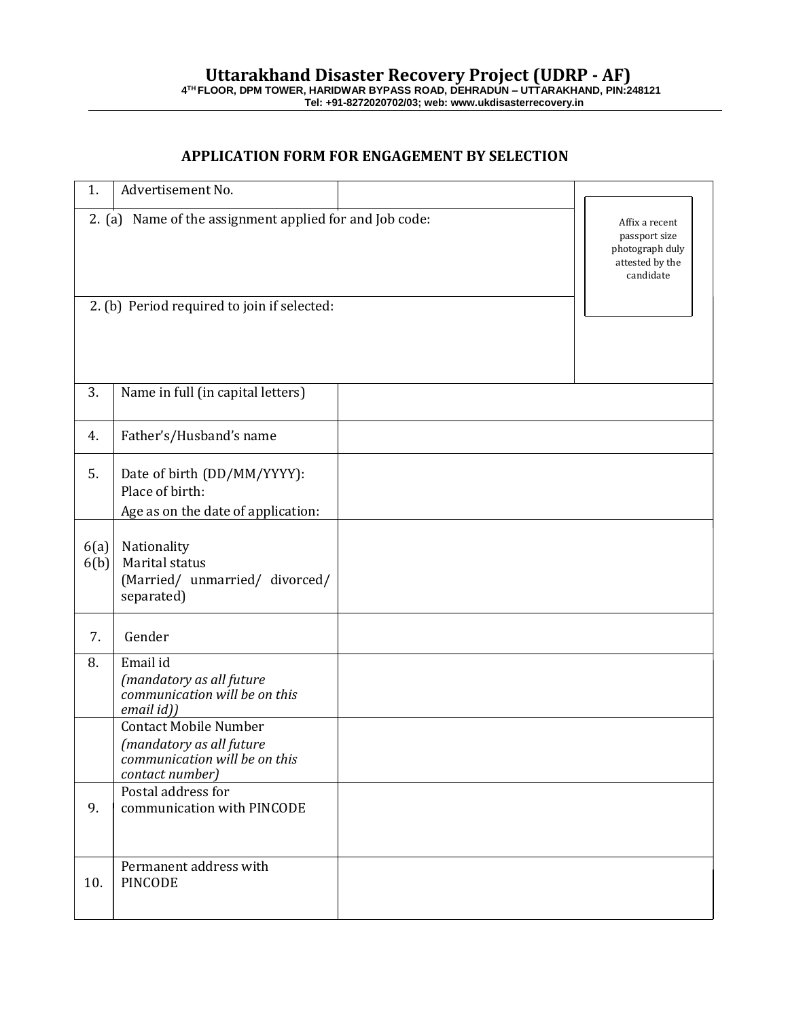## **APPLICATION FORM FOR ENGAGEMENT BY SELECTION**

| 1.           | Advertisement No.                                                                                            |                                                                                    |  |
|--------------|--------------------------------------------------------------------------------------------------------------|------------------------------------------------------------------------------------|--|
|              | 2. (a) Name of the assignment applied for and Job code:                                                      | Affix a recent<br>passport size<br>photograph duly<br>attested by the<br>candidate |  |
|              | 2. (b) Period required to join if selected:                                                                  |                                                                                    |  |
| 3.           | Name in full (in capital letters)                                                                            |                                                                                    |  |
| 4.           | Father's/Husband's name                                                                                      |                                                                                    |  |
| 5.           | Date of birth (DD/MM/YYYY):<br>Place of birth:<br>Age as on the date of application:                         |                                                                                    |  |
| 6(a)<br>6(b) | Nationality<br>Marital status<br>(Married/ unmarried/ divorced/<br>separated)                                |                                                                                    |  |
| 7.           | Gender                                                                                                       |                                                                                    |  |
| 8.           | Email id<br>(mandatory as all future<br>communication will be on this<br>email id))                          |                                                                                    |  |
|              | <b>Contact Mobile Number</b><br>(mandatory as all future<br>communication will be on this<br>contact number) |                                                                                    |  |
| 9.           | Postal address for<br>communication with PINCODE                                                             |                                                                                    |  |
| 10.          | Permanent address with<br><b>PINCODE</b>                                                                     |                                                                                    |  |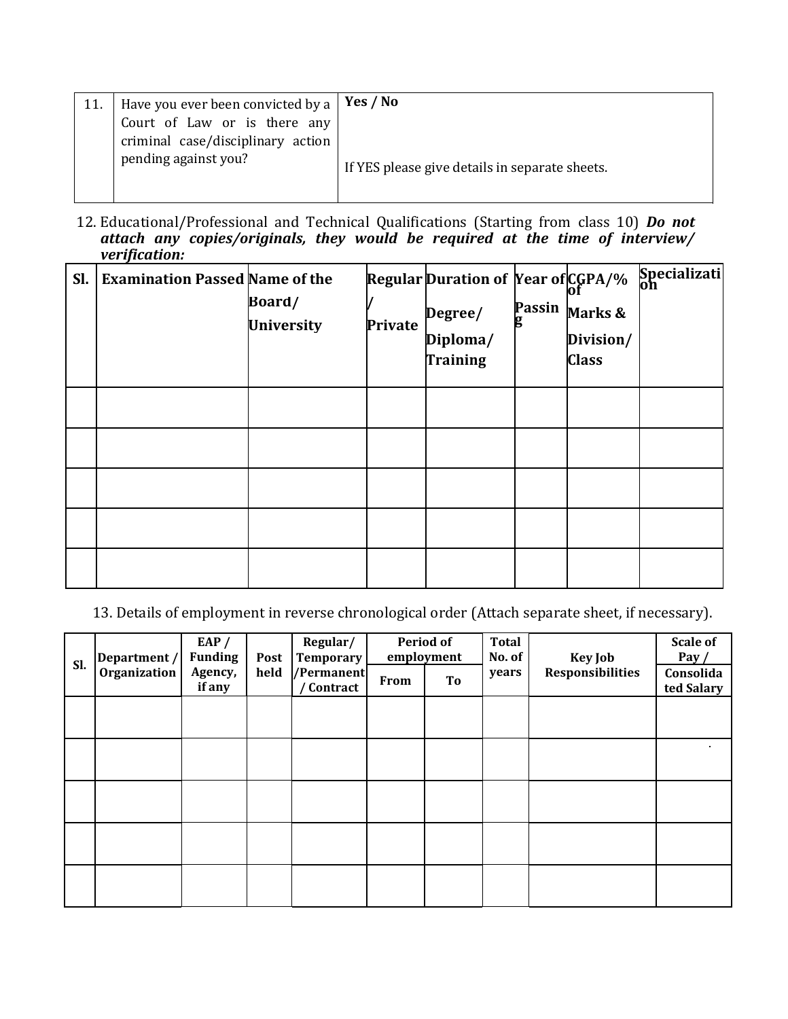| 11. | $^\shortparallel$ Have you ever been convicted by a $\mid$ <b>Yes / No</b> |                                                |
|-----|----------------------------------------------------------------------------|------------------------------------------------|
|     | Court of Law or is there any                                               |                                                |
|     | criminal case/disciplinary action                                          |                                                |
|     | pending against you?                                                       | If YES please give details in separate sheets. |
|     |                                                                            |                                                |

12. Educational/Professional and Technical Qualifications (Starting from class 10) *Do not attach any copies/originals, they would be required at the time of interview/ verification:*

| Sl. | <b>Examination Passed Name of the</b> | Board/<br><b>University</b> | Private | Regular Duration of Year of CGPA/%<br>Degree/<br>Diploma/<br>Training | <b>Passin</b><br>б | Marks &<br>Division/<br><b>Class</b> | Specializati |
|-----|---------------------------------------|-----------------------------|---------|-----------------------------------------------------------------------|--------------------|--------------------------------------|--------------|
|     |                                       |                             |         |                                                                       |                    |                                      |              |
|     |                                       |                             |         |                                                                       |                    |                                      |              |
|     |                                       |                             |         |                                                                       |                    |                                      |              |
|     |                                       |                             |         |                                                                       |                    |                                      |              |
|     |                                       |                             |         |                                                                       |                    |                                      |              |

13. Details of employment in reverse chronological order (Attach separate sheet, if necessary).

|     | Department /<br>Organization | EAP $/$<br><b>Funding</b><br>Agency,<br>held<br>if any | Post | Regular/<br><b>Temporary</b><br>/Permanent<br>/ Contract | <b>Period of</b><br>employment |    | <b>Total</b><br>No. of | <b>Key Job</b>          | <b>Scale of</b><br>Pay $/$ |
|-----|------------------------------|--------------------------------------------------------|------|----------------------------------------------------------|--------------------------------|----|------------------------|-------------------------|----------------------------|
| Sl. |                              |                                                        |      |                                                          | <b>From</b>                    | To | years                  | <b>Responsibilities</b> | Consolida<br>ted Salary    |
|     |                              |                                                        |      |                                                          |                                |    |                        |                         |                            |
|     |                              |                                                        |      |                                                          |                                |    |                        |                         |                            |
|     |                              |                                                        |      |                                                          |                                |    |                        |                         |                            |
|     |                              |                                                        |      |                                                          |                                |    |                        |                         |                            |
|     |                              |                                                        |      |                                                          |                                |    |                        |                         |                            |
|     |                              |                                                        |      |                                                          |                                |    |                        |                         |                            |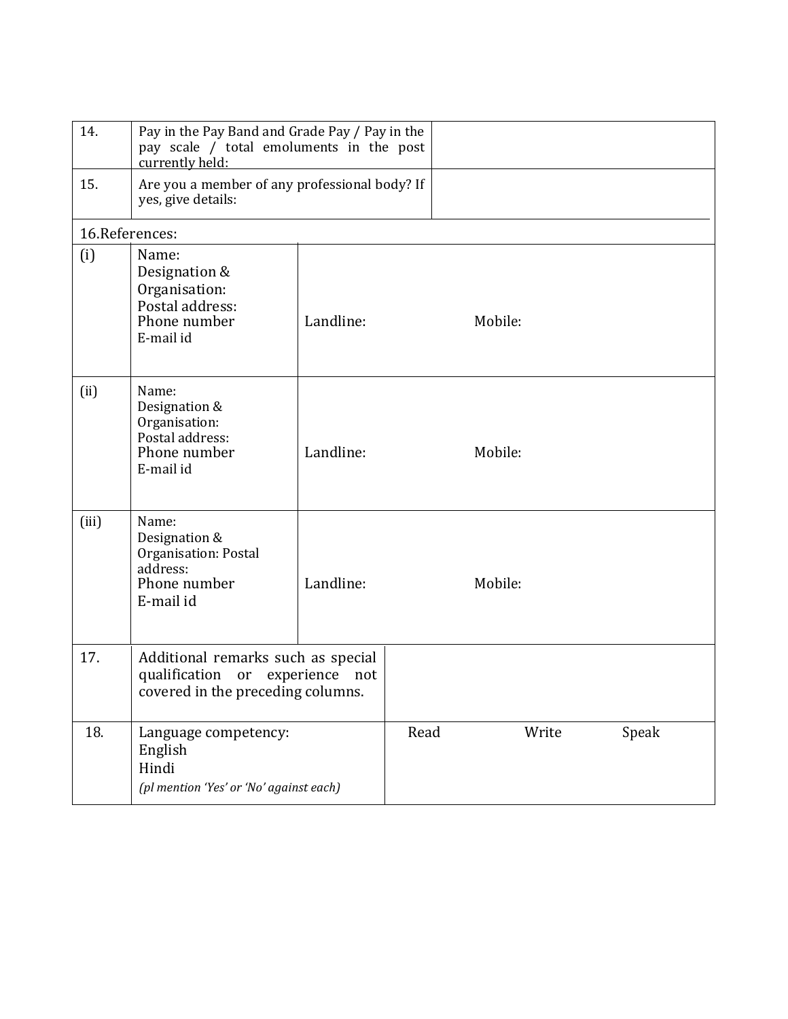| 14.   | Pay in the Pay Band and Grade Pay / Pay in the<br>pay scale / total emoluments in the post<br>currently held:    |           |      |         |       |  |  |  |  |
|-------|------------------------------------------------------------------------------------------------------------------|-----------|------|---------|-------|--|--|--|--|
| 15.   | Are you a member of any professional body? If<br>yes, give details:                                              |           |      |         |       |  |  |  |  |
|       | 16.References:                                                                                                   |           |      |         |       |  |  |  |  |
| (i)   | Name:<br>Designation &<br>Organisation:<br>Postal address:<br>Phone number<br>E-mail id                          | Landline: |      | Mobile: |       |  |  |  |  |
| (ii)  | Name:<br>Designation &<br>Organisation:<br>Postal address:<br>Phone number<br>E-mail id                          | Landline: |      | Mobile: |       |  |  |  |  |
| (iii) | Name:<br>Designation &<br>Organisation: Postal<br>address:<br>Phone number<br>E-mail id                          | Landline: |      | Mobile: |       |  |  |  |  |
| 17.   | Additional remarks such as special<br>qualification<br>experience not<br>or<br>covered in the preceding columns. |           |      |         |       |  |  |  |  |
| 18.   | Language competency:<br>English<br>Hindi<br>(pl mention 'Yes' or 'No' against each)                              |           | Read | Write   | Speak |  |  |  |  |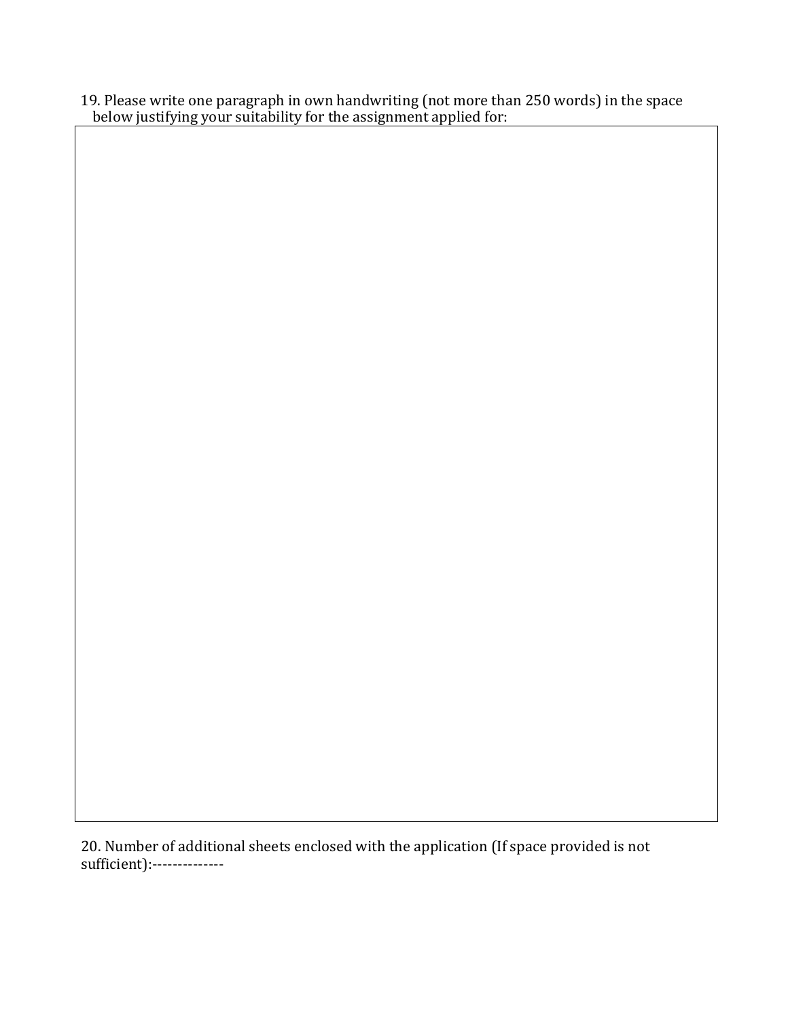19. Please write one paragraph in own handwriting (not more than 250 words) in the space below justifying your suitability for the assignment applied for:

20. Number of additional sheets enclosed with the application (If space provided is not sufficient):--------------